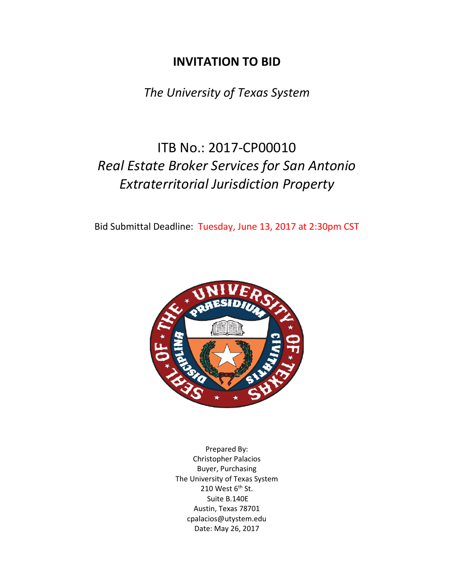# **INVITATION TO BID**

*The University of Texas System*

# ITB No.: 2017-CP00010 *Real Estate Broker Services for San Antonio Extraterritorial Jurisdiction Property*

Bid Submittal Deadline: Tuesday, June 13, 2017 at 2:30pm CST



Prepared By: Christopher Palacios Buyer, Purchasing The University of Texas System 210 West  $6<sup>th</sup>$  St. Suite B.140E Austin, Texas 78701 cpalacios@utystem.edu Date: May 26, 2017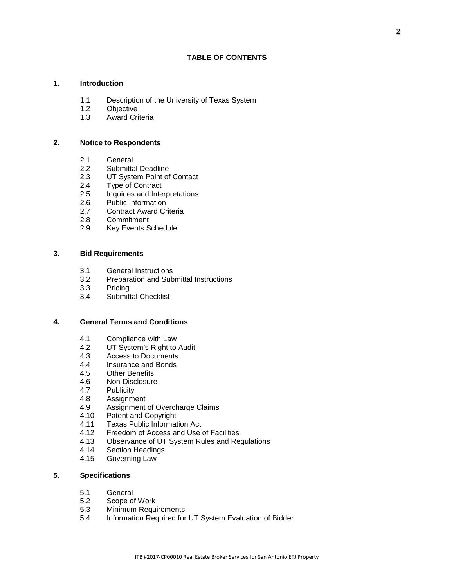# **1. Introduction**

- 1.1 Description of the University of Texas System<br>1.2 Objective
- Objective
- 1.3 Award Criteria

#### **2. Notice to Respondents**

- 2.1 General
- 2.2 Submittal Deadline<br>2.3 UT System Point of
- 2.3 UT System Point of Contact<br>2.4 Type of Contract
- **Type of Contract**
- 2.5 Inquiries and Interpretations<br>2.6 Public Information
- Public Information
- 2.7 Contract Award Criteria
- 2.8 Commitment<br>2.9 Key Events S
- Key Events Schedule

# **3. Bid Requirements**

- 3.1 General Instructions
- 3.2 Preparation and Submittal Instructions
- 3.3 Pricing
- 3.4 Submittal Checklist

# **4. General Terms and Conditions**

- 4.1 Compliance with Law<br>4.2 UT System's Right to
- 4.2 UT System's Right to Audit<br>4.3 Access to Documents
- Access to Documents
- 4.4 Insurance and Bonds
- 4.5 Other Benefits
- 4.6 Non-Disclosure
- 4.7 Publicity
- 4.8 Assignment<br>4.9 Assignment
- 4.9 Assignment of Overcharge Claims<br>4.10 Patent and Copyright
- Patent and Copyright
- 4.11 Texas Public Information Act<br>4.12 Freedom of Access and Use
- 4.12 Freedom of Access and Use of Facilities<br>4.13 Observance of UT System Rules and Re
- 4.13 Observance of UT System Rules and Regulations
- 4.14 Section Headings<br>4.15 Governing Law
- Governing Law

#### **5. Specifications**

- 5.1 General
- 5.2 Scope of Work
- **Minimum Requirements**
- 5.4 Information Required for UT System Evaluation of Bidder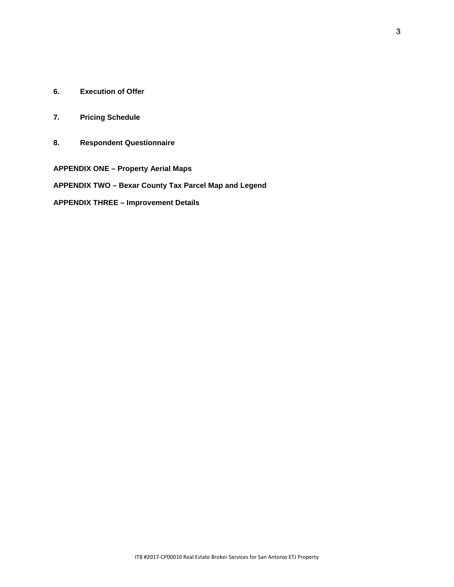- **6. Execution of Offer**
- **7. Pricing Schedule**
- **8. Respondent Questionnaire**

**APPENDIX ONE – Property Aerial Maps APPENDIX TWO – Bexar County Tax Parcel Map and Legend APPENDIX THREE – Improvement Details**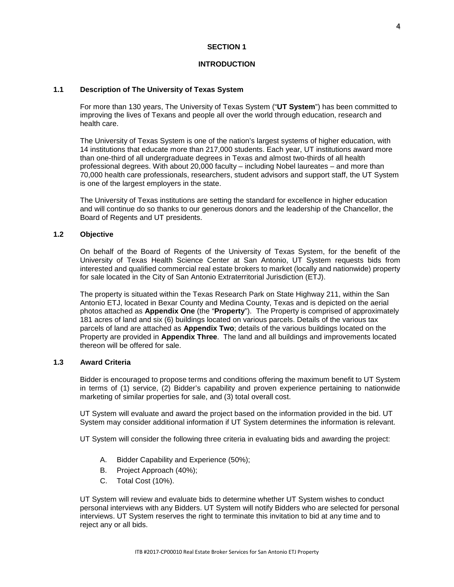#### **INTRODUCTION**

# **1.1 Description of The University of Texas System**

For more than 130 years, The University of Texas System ("**UT System**") has been committed to improving the lives of Texans and people all over the world through education, research and health care.

The University of Texas System is one of the nation's largest systems of higher education, with 14 institutions that educate more than 217,000 students. Each year, UT institutions award more than one-third of all undergraduate degrees in Texas and almost two-thirds of all health professional degrees. With about 20,000 faculty – including Nobel laureates – and more than 70,000 health care professionals, researchers, student advisors and support staff, the UT System is one of the largest employers in the state.

The University of Texas institutions are setting the standard for excellence in higher education and will continue do so thanks to our generous donors and the leadership of the Chancellor, the Board of Regents and UT presidents.

#### **1.2 Objective**

On behalf of the Board of Regents of the University of Texas System, for the benefit of the University of Texas Health Science Center at San Antonio, UT System requests bids from interested and qualified commercial real estate brokers to market (locally and nationwide) property for sale located in the City of San Antonio Extraterritorial Jurisdiction (ETJ).

The property is situated within the Texas Research Park on State Highway 211, within the San Antonio ETJ, located in Bexar County and Medina County, Texas and is depicted on the aerial photos attached as **Appendix One** (the "**Property**"). The Property is comprised of approximately 181 acres of land and six (6) buildings located on various parcels. Details of the various tax parcels of land are attached as **Appendix Two**; details of the various buildings located on the Property are provided in **Appendix Three**. The land and all buildings and improvements located thereon will be offered for sale.

# **1.3 Award Criteria**

Bidder is encouraged to propose terms and conditions offering the maximum benefit to UT System in terms of (1) service, (2) Bidder's capability and proven experience pertaining to nationwide marketing of similar properties for sale, and (3) total overall cost.

UT System will evaluate and award the project based on the information provided in the bid. UT System may consider additional information if UT System determines the information is relevant.

UT System will consider the following three criteria in evaluating bids and awarding the project:

- A. Bidder Capability and Experience (50%);
- B. Project Approach (40%);
- C. Total Cost (10%).

UT System will review and evaluate bids to determine whether UT System wishes to conduct personal interviews with any Bidders. UT System will notify Bidders who are selected for personal interviews. UT System reserves the right to terminate this invitation to bid at any time and to reject any or all bids.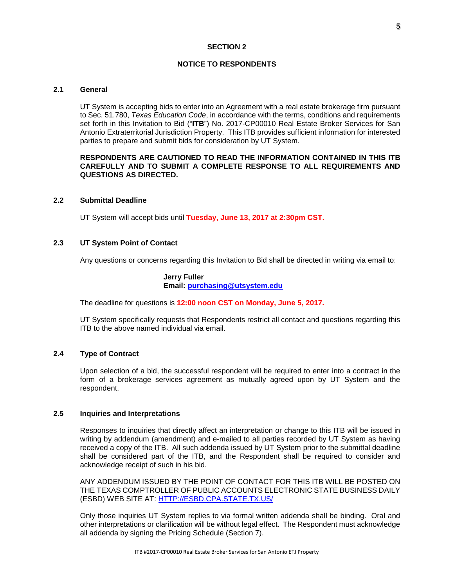#### **NOTICE TO RESPONDENTS**

# **2.1 General**

UT System is accepting bids to enter into an Agreement with a real estate brokerage firm pursuant to Sec. 51.780, *Texas Education Code*, in accordance with the terms, conditions and requirements set forth in this Invitation to Bid ("**ITB**") No. 2017-CP00010 Real Estate Broker Services for San Antonio Extraterritorial Jurisdiction Property. This ITB provides sufficient information for interested parties to prepare and submit bids for consideration by UT System.

#### **RESPONDENTS ARE CAUTIONED TO READ THE INFORMATION CONTAINED IN THIS ITB CAREFULLY AND TO SUBMIT A COMPLETE RESPONSE TO ALL REQUIREMENTS AND QUESTIONS AS DIRECTED.**

# **2.2 Submittal Deadline**

UT System will accept bids until **Tuesday, June 13, 2017 at 2:30pm CST.**

#### **2.3 UT System Point of Contact**

Any questions or concerns regarding this Invitation to Bid shall be directed in writing via email to:

# **Jerry Fuller Email: [purchasing@utsystem.edu](mailto:purchasing@utsystem.edu)**

The deadline for questions is **12:00 noon CST on Monday, June 5, 2017.**

UT System specifically requests that Respondents restrict all contact and questions regarding this ITB to the above named individual via email.

# **2.4 Type of Contract**

Upon selection of a bid, the successful respondent will be required to enter into a contract in the form of a brokerage services agreement as mutually agreed upon by UT System and the respondent.

#### **2.5 Inquiries and Interpretations**

Responses to inquiries that directly affect an interpretation or change to this ITB will be issued in writing by addendum (amendment) and e-mailed to all parties recorded by UT System as having received a copy of the ITB. All such addenda issued by UT System prior to the submittal deadline shall be considered part of the ITB, and the Respondent shall be required to consider and acknowledge receipt of such in his bid.

ANY ADDENDUM ISSUED BY THE POINT OF CONTACT FOR THIS ITB WILL BE POSTED ON THE TEXAS COMPTROLLER OF PUBLIC ACCOUNTS ELECTRONIC STATE BUSINESS DAILY (ESBD) WEB SITE AT: [HTTP://ESBD.CPA.STATE.TX.US/](http://esbd.cpa.state.tx.us/)

Only those inquiries UT System replies to via formal written addenda shall be binding. Oral and other interpretations or clarification will be without legal effect. The Respondent must acknowledge all addenda by signing the Pricing Schedule (Section 7).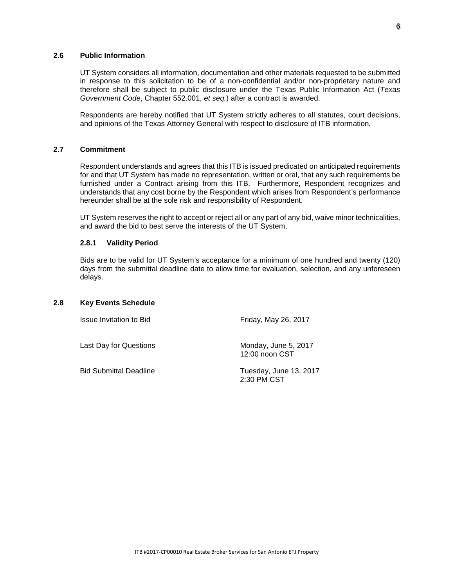#### **2.6 Public Information**

UT System considers all information, documentation and other materials requested to be submitted in response to this solicitation to be of a non-confidential and/or non-proprietary nature and therefore shall be subject to public disclosure under the Texas Public Information Act (*Texas Government Code*, Chapter 552.001, *et seq.*) after a contract is awarded.

Respondents are hereby notified that UT System strictly adheres to all statutes, court decisions, and opinions of the Texas Attorney General with respect to disclosure of ITB information.

#### **2.7 Commitment**

Respondent understands and agrees that this ITB is issued predicated on anticipated requirements for and that UT System has made no representation, written or oral, that any such requirements be furnished under a Contract arising from this ITB. Furthermore, Respondent recognizes and understands that any cost borne by the Respondent which arises from Respondent's performance hereunder shall be at the sole risk and responsibility of Respondent.

UT System reserves the right to accept or reject all or any part of any bid, waive minor technicalities, and award the bid to best serve the interests of the UT System.

#### **2.8.1 Validity Period**

Bids are to be valid for UT System's acceptance for a minimum of one hundred and twenty (120) days from the submittal deadline date to allow time for evaluation, selection, and any unforeseen delays.

## **2.8 Key Events Schedule**

Issue Invitation to Bid Friday, May 26, 2017

12:00 noon CST

Last Day for Questions Monday, June 5, 2017

Bid Submittal Deadline Tuesday, June 13, 2017 2:30 PM CST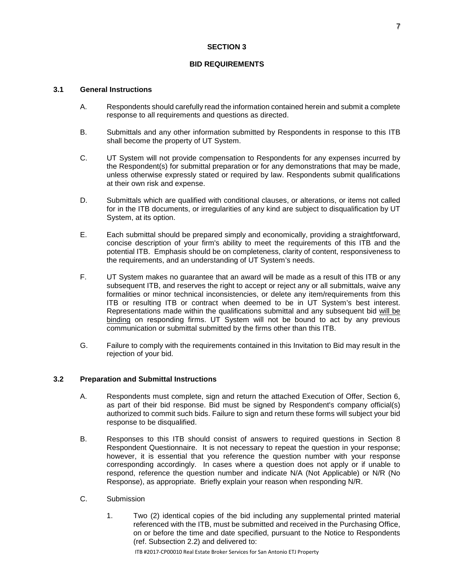# **BID REQUIREMENTS**

# **3.1 General Instructions**

- A. Respondents should carefully read the information contained herein and submit a complete response to all requirements and questions as directed.
- B. Submittals and any other information submitted by Respondents in response to this ITB shall become the property of UT System.
- C. UT System will not provide compensation to Respondents for any expenses incurred by the Respondent(s) for submittal preparation or for any demonstrations that may be made, unless otherwise expressly stated or required by law. Respondents submit qualifications at their own risk and expense.
- D. Submittals which are qualified with conditional clauses, or alterations, or items not called for in the ITB documents, or irregularities of any kind are subject to disqualification by UT System, at its option.
- E. Each submittal should be prepared simply and economically, providing a straightforward, concise description of your firm's ability to meet the requirements of this ITB and the potential ITB. Emphasis should be on completeness, clarity of content, responsiveness to the requirements, and an understanding of UT System's needs.
- F. UT System makes no guarantee that an award will be made as a result of this ITB or any subsequent ITB, and reserves the right to accept or reject any or all submittals, waive any formalities or minor technical inconsistencies, or delete any item/requirements from this ITB or resulting ITB or contract when deemed to be in UT System's best interest. Representations made within the qualifications submittal and any subsequent bid will be binding on responding firms. UT System will not be bound to act by any previous communication or submittal submitted by the firms other than this ITB.
- G. Failure to comply with the requirements contained in this Invitation to Bid may result in the rejection of your bid.

# **3.2 Preparation and Submittal Instructions**

- A. Respondents must complete, sign and return the attached Execution of Offer, Section 6, as part of their bid response. Bid must be signed by Respondent's company official(s) authorized to commit such bids. Failure to sign and return these forms will subject your bid response to be disqualified.
- B. Responses to this ITB should consist of answers to required questions in Section 8 Respondent Questionnaire. It is not necessary to repeat the question in your response; however, it is essential that you reference the question number with your response corresponding accordingly. In cases where a question does not apply or if unable to respond, reference the question number and indicate N/A (Not Applicable) or N/R (No Response), as appropriate. Briefly explain your reason when responding N/R.
- C. Submission
	- 1. Two (2) identical copies of the bid including any supplemental printed material referenced with the ITB, must be submitted and received in the Purchasing Office, on or before the time and date specified, pursuant to the Notice to Respondents (ref. Subsection 2.2) and delivered to: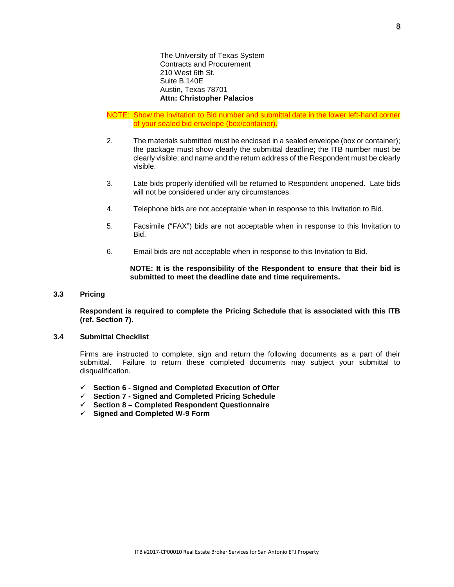The University of Texas System Contracts and Procurement 210 West 6th St. Suite B.140E Austin, Texas 78701 **Attn: Christopher Palacios**

- NOTE: Show the Invitation to Bid number and submittal date in the lower left-hand corner of your sealed bid envelope (box/container).
- 2. The materials submitted must be enclosed in a sealed envelope (box or container); the package must show clearly the submittal deadline; the ITB number must be clearly visible; and name and the return address of the Respondent must be clearly visible.
- 3. Late bids properly identified will be returned to Respondent unopened. Late bids will not be considered under any circumstances.
- 4. Telephone bids are not acceptable when in response to this Invitation to Bid.
- 5. Facsimile ("FAX") bids are not acceptable when in response to this Invitation to Bid.
- 6. Email bids are not acceptable when in response to this Invitation to Bid.

**NOTE: It is the responsibility of the Respondent to ensure that their bid is submitted to meet the deadline date and time requirements.**

# **3.3 Pricing**

**Respondent is required to complete the Pricing Schedule that is associated with this ITB (ref. Section 7).**

#### **3.4 Submittal Checklist**

Firms are instructed to complete, sign and return the following documents as a part of their submittal. Failure to return these completed documents may subject your submittal to disqualification.

- **Section 6 - Signed and Completed Execution of Offer**
- **Section 7 - Signed and Completed Pricing Schedule**
- **Section 8 – Completed Respondent Questionnaire**
- **Signed and Completed W-9 Form**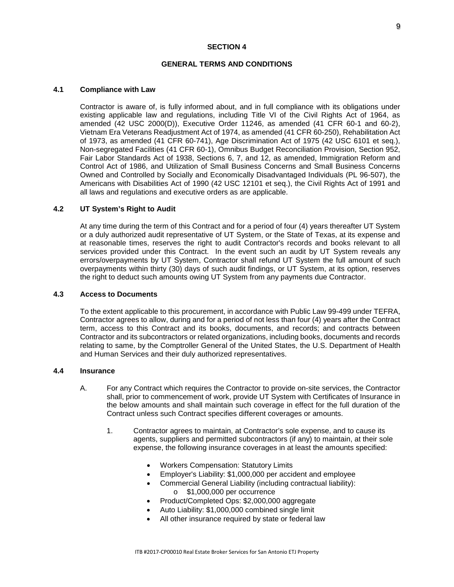#### **GENERAL TERMS AND CONDITIONS**

## **4.1 Compliance with Law**

Contractor is aware of, is fully informed about, and in full compliance with its obligations under existing applicable law and regulations, including Title VI of the Civil Rights Act of 1964, as amended (42 USC 2000(D)), Executive Order 11246, as amended (41 CFR 60-1 and 60-2), Vietnam Era Veterans Readjustment Act of 1974, as amended (41 CFR 60-250), Rehabilitation Act of 1973, as amended (41 CFR 60-741), Age Discrimination Act of 1975 (42 USC 6101 et seq.), Non-segregated Facilities (41 CFR 60-1), Omnibus Budget Reconciliation Provision, Section 952, Fair Labor Standards Act of 1938, Sections 6, 7, and 12, as amended, Immigration Reform and Control Act of 1986, and Utilization of Small Business Concerns and Small Business Concerns Owned and Controlled by Socially and Economically Disadvantaged Individuals (PL 96-507), the Americans with Disabilities Act of 1990 (42 USC 12101 et seq.), the Civil Rights Act of 1991 and all laws and regulations and executive orders as are applicable.

#### **4.2 UT System's Right to Audit**

At any time during the term of this Contract and for a period of four (4) years thereafter UT System or a duly authorized audit representative of UT System, or the State of Texas, at its expense and at reasonable times, reserves the right to audit Contractor's records and books relevant to all services provided under this Contract. In the event such an audit by UT System reveals any errors/overpayments by UT System, Contractor shall refund UT System the full amount of such overpayments within thirty (30) days of such audit findings, or UT System, at its option, reserves the right to deduct such amounts owing UT System from any payments due Contractor.

# **4.3 Access to Documents**

To the extent applicable to this procurement, in accordance with Public Law 99-499 under TEFRA, Contractor agrees to allow, during and for a period of not less than four (4) years after the Contract term, access to this Contract and its books, documents, and records; and contracts between Contractor and its subcontractors or related organizations, including books, documents and records relating to same, by the Comptroller General of the United States, the U.S. Department of Health and Human Services and their duly authorized representatives.

# **4.4 Insurance**

- A. For any Contract which requires the Contractor to provide on-site services, the Contractor shall, prior to commencement of work, provide UT System with Certificates of Insurance in the below amounts and shall maintain such coverage in effect for the full duration of the Contract unless such Contract specifies different coverages or amounts.
	- 1. Contractor agrees to maintain, at Contractor's sole expense, and to cause its agents, suppliers and permitted subcontractors (if any) to maintain, at their sole expense, the following insurance coverages in at least the amounts specified:
		- Workers Compensation: Statutory Limits
		- Employer's Liability: \$1,000,000 per accident and employee
		- Commercial General Liability (including contractual liability):
			- o \$1,000,000 per occurrence
		- Product/Completed Ops: \$2,000,000 aggregate
		- Auto Liability: \$1,000,000 combined single limit
		- All other insurance required by state or federal law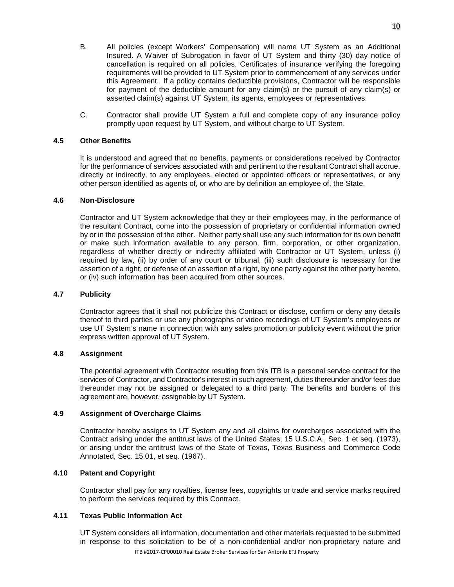- B. All policies (except Workers' Compensation) will name UT System as an Additional Insured. A Waiver of Subrogation in favor of UT System and thirty (30) day notice of cancellation is required on all policies. Certificates of insurance verifying the foregoing requirements will be provided to UT System prior to commencement of any services under this Agreement. If a policy contains deductible provisions, Contractor will be responsible for payment of the deductible amount for any claim(s) or the pursuit of any claim(s) or asserted claim(s) against UT System, its agents, employees or representatives.
- C. Contractor shall provide UT System a full and complete copy of any insurance policy promptly upon request by UT System, and without charge to UT System.

# **4.5 Other Benefits**

It is understood and agreed that no benefits, payments or considerations received by Contractor for the performance of services associated with and pertinent to the resultant Contract shall accrue, directly or indirectly, to any employees, elected or appointed officers or representatives, or any other person identified as agents of, or who are by definition an employee of, the State.

# **4.6 Non-Disclosure**

Contractor and UT System acknowledge that they or their employees may, in the performance of the resultant Contract, come into the possession of proprietary or confidential information owned by or in the possession of the other. Neither party shall use any such information for its own benefit or make such information available to any person, firm, corporation, or other organization, regardless of whether directly or indirectly affiliated with Contractor or UT System, unless (i) required by law, (ii) by order of any court or tribunal, (iii) such disclosure is necessary for the assertion of a right, or defense of an assertion of a right, by one party against the other party hereto, or (iv) such information has been acquired from other sources.

# **4.7 Publicity**

Contractor agrees that it shall not publicize this Contract or disclose, confirm or deny any details thereof to third parties or use any photographs or video recordings of UT System's employees or use UT System's name in connection with any sales promotion or publicity event without the prior express written approval of UT System.

# **4.8 Assignment**

The potential agreement with Contractor resulting from this ITB is a personal service contract for the services of Contractor, and Contractor's interest in such agreement, duties thereunder and/or fees due thereunder may not be assigned or delegated to a third party. The benefits and burdens of this agreement are, however, assignable by UT System.

#### **4.9 Assignment of Overcharge Claims**

Contractor hereby assigns to UT System any and all claims for overcharges associated with the Contract arising under the antitrust laws of the United States, 15 U.S.C.A., Sec. 1 et seq. (1973), or arising under the antitrust laws of the State of Texas, Texas Business and Commerce Code Annotated, Sec. 15.01, et seq. (1967).

# **4.10 Patent and Copyright**

Contractor shall pay for any royalties, license fees, copyrights or trade and service marks required to perform the services required by this Contract.

# **4.11 Texas Public Information Act**

ITB #2017-CP00010 Real Estate Broker Services for San Antonio ETJ Property UT System considers all information, documentation and other materials requested to be submitted in response to this solicitation to be of a non-confidential and/or non-proprietary nature and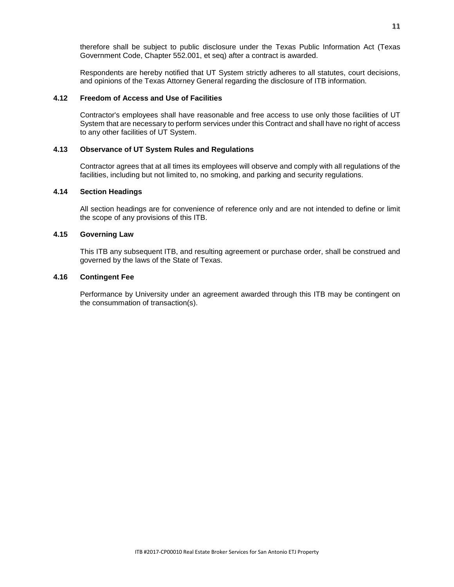therefore shall be subject to public disclosure under the Texas Public Information Act (Texas Government Code, Chapter 552.001, et seq) after a contract is awarded.

Respondents are hereby notified that UT System strictly adheres to all statutes, court decisions, and opinions of the Texas Attorney General regarding the disclosure of ITB information.

#### **4.12 Freedom of Access and Use of Facilities**

Contractor's employees shall have reasonable and free access to use only those facilities of UT System that are necessary to perform services under this Contract and shall have no right of access to any other facilities of UT System.

#### **4.13 Observance of UT System Rules and Regulations**

Contractor agrees that at all times its employees will observe and comply with all regulations of the facilities, including but not limited to, no smoking, and parking and security regulations.

#### **4.14 Section Headings**

All section headings are for convenience of reference only and are not intended to define or limit the scope of any provisions of this ITB.

#### **4.15 Governing Law**

This ITB any subsequent ITB, and resulting agreement or purchase order, shall be construed and governed by the laws of the State of Texas.

# **4.16 Contingent Fee**

Performance by University under an agreement awarded through this ITB may be contingent on the consummation of transaction(s).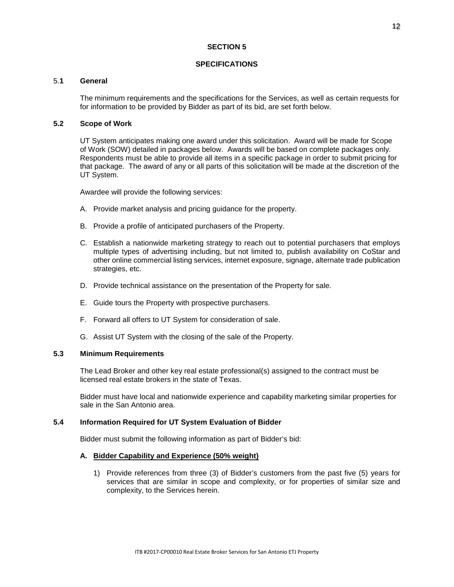#### **SPECIFICATIONS**

#### 5.**1 General**

The minimum requirements and the specifications for the Services, as well as certain requests for for information to be provided by Bidder as part of its bid, are set forth below.

#### **5.2 Scope of Work**

UT System anticipates making one award under this solicitation. Award will be made for Scope of Work (SOW) detailed in packages below. Awards will be based on complete packages only. Respondents must be able to provide all items in a specific package in order to submit pricing for that package. The award of any or all parts of this solicitation will be made at the discretion of the UT System.

Awardee will provide the following services:

- A. Provide market analysis and pricing guidance for the property.
- B. Provide a profile of anticipated purchasers of the Property.
- C. Establish a nationwide marketing strategy to reach out to potential purchasers that employs multiple types of advertising including, but not limited to, publish availability on CoStar and other online commercial listing services, internet exposure, signage, alternate trade publication strategies, etc.
- D. Provide technical assistance on the presentation of the Property for sale.
- E. Guide tours the Property with prospective purchasers.
- F. Forward all offers to UT System for consideration of sale.
- G. Assist UT System with the closing of the sale of the Property.

#### **5.3 Minimum Requirements**

The Lead Broker and other key real estate professional(s) assigned to the contract must be licensed real estate brokers in the state of Texas.

Bidder must have local and nationwide experience and capability marketing similar properties for sale in the San Antonio area.

# **5.4 Information Required for UT System Evaluation of Bidder**

Bidder must submit the following information as part of Bidder's bid:

#### **A. Bidder Capability and Experience (50% weight)**

1) Provide references from three (3) of Bidder's customers from the past five (5) years for services that are similar in scope and complexity, or for properties of similar size and complexity, to the Services herein.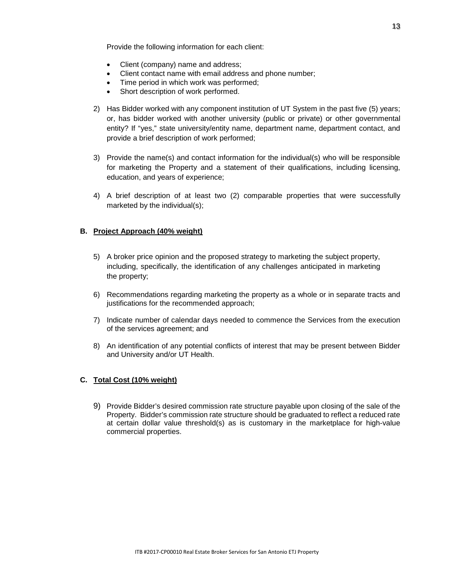Provide the following information for each client:

- Client (company) name and address;
- Client contact name with email address and phone number;
- Time period in which work was performed;
- Short description of work performed.
- 2) Has Bidder worked with any component institution of UT System in the past five (5) years; or, has bidder worked with another university (public or private) or other governmental entity? If "yes," state university/entity name, department name, department contact, and provide a brief description of work performed;
- 3) Provide the name(s) and contact information for the individual(s) who will be responsible for marketing the Property and a statement of their qualifications, including licensing, education, and years of experience;
- 4) A brief description of at least two (2) comparable properties that were successfully marketed by the individual(s);

# **B. Project Approach (40% weight)**

- 5) A broker price opinion and the proposed strategy to marketing the subject property, including, specifically, the identification of any challenges anticipated in marketing the property;
- 6) Recommendations regarding marketing the property as a whole or in separate tracts and justifications for the recommended approach;
- 7) Indicate number of calendar days needed to commence the Services from the execution of the services agreement; and
- 8) An identification of any potential conflicts of interest that may be present between Bidder and University and/or UT Health.

# **C. Total Cost (10% weight)**

9) Provide Bidder's desired commission rate structure payable upon closing of the sale of the Property. Bidder's commission rate structure should be graduated to reflect a reduced rate at certain dollar value threshold(s) as is customary in the marketplace for high-value commercial properties.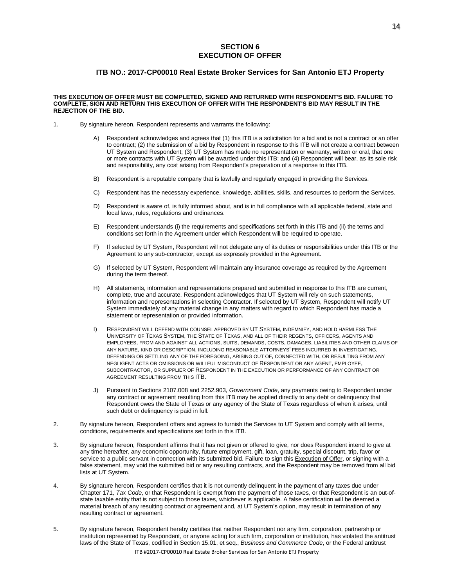#### **SECTION 6 EXECUTION OF OFFER**

#### **ITB NO.: 2017-CP00010 Real Estate Broker Services for San Antonio ETJ Property**

#### **THIS EXECUTION OF OFFER MUST BE COMPLETED, SIGNED AND RETURNED WITH RESPONDENT'S BID. FAILURE TO COMPLETE, SIGN AND RETURN THIS EXECUTION OF OFFER WITH THE RESPONDENT'S BID MAY RESULT IN THE REJECTION OF THE BID.**

- 1. By signature hereon, Respondent represents and warrants the following:
	- A) Respondent acknowledges and agrees that (1) this ITB is a solicitation for a bid and is not a contract or an offer to contract; (2) the submission of a bid by Respondent in response to this ITB will not create a contract between UT System and Respondent; (3) UT System has made no representation or warranty, written or oral, that one or more contracts with UT System will be awarded under this ITB; and (4) Respondent will bear, as its sole risk and responsibility, any cost arising from Respondent's preparation of a response to this ITB.
	- B) Respondent is a reputable company that is lawfully and regularly engaged in providing the Services.
	- C) Respondent has the necessary experience, knowledge, abilities, skills, and resources to perform the Services.
	- D) Respondent is aware of, is fully informed about, and is in full compliance with all applicable federal, state and local laws, rules, regulations and ordinances.
	- E) Respondent understands (i) the requirements and specifications set forth in this ITB and (ii) the terms and conditions set forth in the Agreement under which Respondent will be required to operate.
	- F) If selected by UT System, Respondent will not delegate any of its duties or responsibilities under this ITB or the Agreement to any sub-contractor, except as expressly provided in the Agreement.
	- G) If selected by UT System, Respondent will maintain any insurance coverage as required by the Agreement during the term thereof.
	- H) All statements, information and representations prepared and submitted in response to this ITB are current, complete, true and accurate. Respondent acknowledges that UT System will rely on such statements, information and representations in selecting Contractor. If selected by UT System, Respondent will notify UT System immediately of any material change in any matters with regard to which Respondent has made a statement or representation or provided information.
	- I) RESPONDENT WILL DEFEND WITH COUNSEL APPROVED BY UT SYSTEM, INDEMNIFY, AND HOLD HARMLESS THE UNIVERSITY OF TEXAS SYSTEM, THE STATE OF TEXAS, AND ALL OF THEIR REGENTS, OFFICERS, AGENTS AND EMPLOYEES, FROM AND AGAINST ALL ACTIONS, SUITS, DEMANDS, COSTS, DAMAGES, LIABILITIES AND OTHER CLAIMS OF ANY NATURE, KIND OR DESCRIPTION, INCLUDING REASONABLE ATTORNEYS' FEES INCURRED IN INVESTIGATING, DEFENDING OR SETTLING ANY OF THE FOREGOING, ARISING OUT OF, CONNECTED WITH, OR RESULTING FROM ANY NEGLIGENT ACTS OR OMISSIONS OR WILLFUL MISCONDUCT OF RESPONDENT OR ANY AGENT, EMPLOYEE, SUBCONTRACTOR, OR SUPPLIER OF RESPONDENT IN THE EXECUTION OR PERFORMANCE OF ANY CONTRACT OR AGREEMENT RESULTING FROM THIS ITB.
	- J) Pursuant to Sections 2107.008 and 2252.903, *Government Code*, any payments owing to Respondent under any contract or agreement resulting from this ITB may be applied directly to any debt or delinquency that Respondent owes the State of Texas or any agency of the State of Texas regardless of when it arises, until such debt or delinquency is paid in full.
- 2. By signature hereon, Respondent offers and agrees to furnish the Services to UT System and comply with all terms, conditions, requirements and specifications set forth in this ITB.
- 3. By signature hereon, Respondent affirms that it has not given or offered to give, nor does Respondent intend to give at any time hereafter, any economic opportunity, future employment, gift, loan, gratuity, special discount, trip, favor or service to a public servant in connection with its submitted bid. Failure to sign this Execution of Offer, or signing with a false statement, may void the submitted bid or any resulting contracts, and the Respondent may be removed from all bid lists at UT System.
- 4. By signature hereon, Respondent certifies that it is not currently delinquent in the payment of any taxes due under Chapter 171, *Tax Code*, or that Respondent is exempt from the payment of those taxes, or that Respondent is an out-ofstate taxable entity that is not subject to those taxes, whichever is applicable. A false certification will be deemed a material breach of any resulting contract or agreement and, at UT System's option, may result in termination of any resulting contract or agreement.
- 5. By signature hereon, Respondent hereby certifies that neither Respondent nor any firm, corporation, partnership or institution represented by Respondent, or anyone acting for such firm, corporation or institution, has violated the antitrust laws of the State of Texas, codified in Section 15.01, et seq., *Business and Commerce Code*, or the Federal antitrust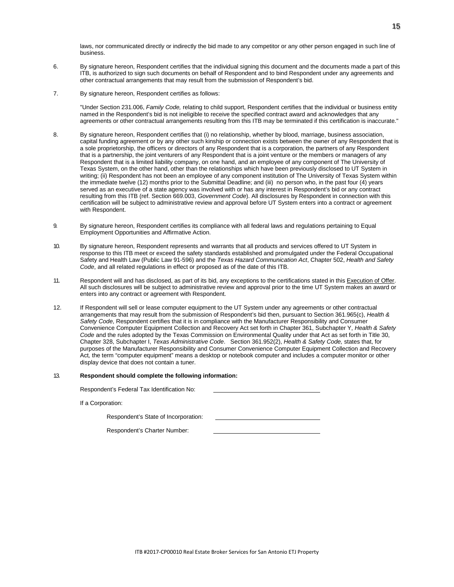laws, nor communicated directly or indirectly the bid made to any competitor or any other person engaged in such line of business.

- 6. By signature hereon, Respondent certifies that the individual signing this document and the documents made a part of this ITB, is authorized to sign such documents on behalf of Respondent and to bind Respondent under any agreements and other contractual arrangements that may result from the submission of Respondent's bid.
- 7. By signature hereon, Respondent certifies as follows:

"Under Section 231.006, *Family Code,* relating to child support, Respondent certifies that the individual or business entity named in the Respondent's bid is not ineligible to receive the specified contract award and acknowledges that any agreements or other contractual arrangements resulting from this ITB may be terminated if this certification is inaccurate."

- 8. By signature hereon, Respondent certifies that (i) no relationship, whether by blood, marriage, business association, capital funding agreement or by any other such kinship or connection exists between the owner of any Respondent that is a sole proprietorship, the officers or directors of any Respondent that is a corporation, the partners of any Respondent that is a partnership, the joint venturers of any Respondent that is a joint venture or the members or managers of any Respondent that is a limited liability company, on one hand, and an employee of any component of The University of Texas System, on the other hand, other than the relationships which have been previously disclosed to UT System in writing; (ii) Respondent has not been an employee of any component institution of The University of Texas System within the immediate twelve (12) months prior to the Submittal Deadline; and (iii) no person who, in the past four (4) years served as an executive of a state agency was involved with or has any interest in Respondent's bid or any contract resulting from this ITB (ref. Section 669.003, *Government Code*). All disclosures by Respondent in connection with this certification will be subject to administrative review and approval before UT System enters into a contract or agreement with Respondent.
- 9. By signature hereon, Respondent certifies its compliance with all federal laws and regulations pertaining to Equal Employment Opportunities and Affirmative Action.
- 10. By signature hereon, Respondent represents and warrants that all products and services offered to UT System in response to this ITB meet or exceed the safety standards established and promulgated under the Federal Occupational Safety and Health Law (Public Law 91-596) and the *Texas Hazard Communication Act*, Chapter 502, *Health and Safety Code*, and all related regulations in effect or proposed as of the date of this ITB.
- 11. Respondent will and has disclosed, as part of its bid, any exceptions to the certifications stated in this Execution of Offer. All such disclosures will be subject to administrative review and approval prior to the time UT System makes an award or enters into any contract or agreement with Respondent.
- 12. If Respondent will sell or lease computer equipment to the UT System under any agreements or other contractual arrangements that may result from the submission of Respondent's bid then, pursuant to Section 361.965(c), *Health & Safety Code*, Respondent certifies that it is in compliance with the Manufacturer Responsibility and Consumer Convenience Computer Equipment Collection and Recovery Act set forth in Chapter 361, Subchapter Y, *Health & Safety Code* and the rules adopted by the Texas Commission on Environmental Quality under that Act as set forth in Title 30, Chapter 328, Subchapter I, *Texas Administrative Code*. Section 361.952(2), *Health & Safety Code,* states that, for purposes of the Manufacturer Responsibility and Consumer Convenience Computer Equipment Collection and Recovery Act*,* the term "computer equipment" means a desktop or notebook computer and includes a computer monitor or other display device that does not contain a tuner.

#### 13. **Respondent should complete the following information:**

Respondent's Federal Tax Identification No:

If a Corporation:

Respondent's State of Incorporation:

Respondent's Charter Number: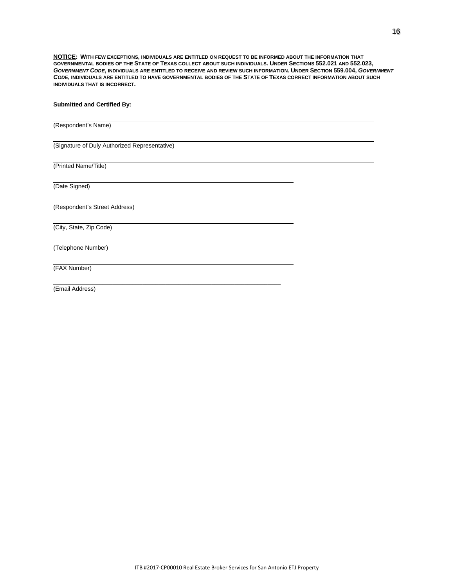**NOTICE: WITH FEW EXCEPTIONS, INDIVIDUALS ARE ENTITLED ON REQUEST TO BE INFORMED ABOUT THE INFORMATION THAT GOVERNMENTAL BODIES OF THE STATE OF TEXAS COLLECT ABOUT SUCH INDIVIDUALS. UNDER SECTIONS 552.021 AND 552.023,** *GOVERNMENT CODE***, INDIVIDUALS ARE ENTITLED TO RECEIVE AND REVIEW SUCH INFORMATION. UNDER SECTION 559.004,** *GOVERNMENT CODE***, INDIVIDUALS ARE ENTITLED TO HAVE GOVERNMENTAL BODIES OF THE STATE OF TEXAS CORRECT INFORMATION ABOUT SUCH INDIVIDUALS THAT IS INCORRECT.**

#### **Submitted and Certified By:**

| (Respondent's Name)                           |  |
|-----------------------------------------------|--|
| (Signature of Duly Authorized Representative) |  |
| (Printed Name/Title)                          |  |
| (Date Signed)                                 |  |
| (Respondent's Street Address)                 |  |
| (City, State, Zip Code)                       |  |
| (Telephone Number)                            |  |
| (FAX Number)                                  |  |
| (Email Address)                               |  |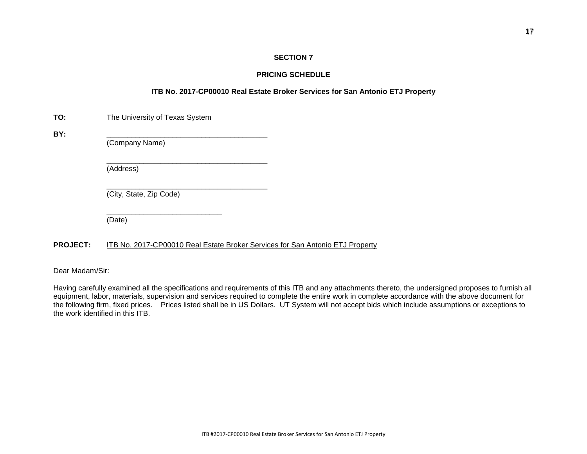# **PRICING SCHEDULE**

# **ITB No. 2017-CP00010 Real Estate Broker Services for San Antonio ETJ Property**

| TO: | The University of Texas System |
|-----|--------------------------------|
|-----|--------------------------------|

**BY:** \_\_\_\_\_\_\_\_\_\_\_\_\_\_\_\_\_\_\_\_\_\_\_\_\_\_\_\_\_\_\_\_\_\_\_\_\_\_\_

(Company Name)

\_\_\_\_\_\_\_\_\_\_\_\_\_\_\_\_\_\_\_\_\_\_\_\_\_\_\_\_\_\_\_\_\_\_\_\_\_\_\_ (Address)

\_\_\_\_\_\_\_\_\_\_\_\_\_\_\_\_\_\_\_\_\_\_\_\_\_\_\_\_\_\_\_\_\_\_\_\_\_\_\_ (City, State, Zip Code)

\_\_\_\_\_\_\_\_\_\_\_\_\_\_\_\_\_\_\_\_\_\_\_\_\_\_\_\_

(Date)

# **PROJECT:** ITB No. 2017-CP00010 Real Estate Broker Services for San Antonio ETJ Property

Dear Madam/Sir:

Having carefully examined all the specifications and requirements of this ITB and any attachments thereto, the undersigned proposes to furnish all equipment, labor, materials, supervision and services required to complete the entire work in complete accordance with the above document for the following firm, fixed prices. Prices listed shall be in US Dollars. UT System will not accept bids which include assumptions or exceptions to the work identified in this ITB.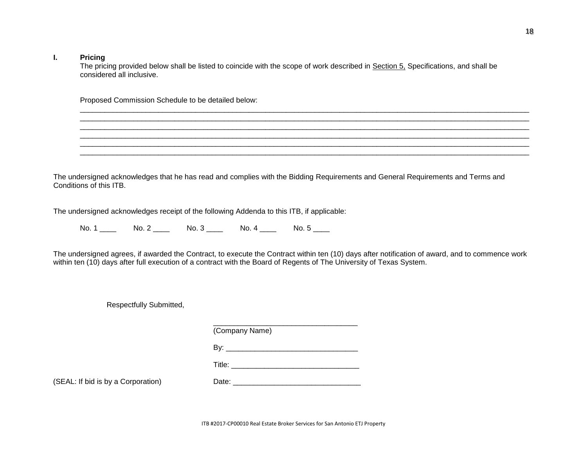#### **I. Pricing**

The pricing provided below shall be listed to coincide with the scope of work described in Section 5, Specifications, and shall be considered all inclusive.

\_\_\_\_\_\_\_\_\_\_\_\_\_\_\_\_\_\_\_\_\_\_\_\_\_\_\_\_\_\_\_\_\_\_\_\_\_\_\_\_\_\_\_\_\_\_\_\_\_\_\_\_\_\_\_\_\_\_\_\_\_\_\_\_\_\_\_\_\_\_\_\_\_\_\_\_\_\_\_\_\_\_\_\_\_\_\_\_\_\_\_\_\_\_\_\_\_\_\_\_\_\_\_\_\_\_\_\_\_

\_\_\_\_\_\_\_\_\_\_\_\_\_\_\_\_\_\_\_\_\_\_\_\_\_\_\_\_\_\_\_\_\_\_\_\_\_\_\_\_\_\_\_\_\_\_\_\_\_\_\_\_\_\_\_\_\_\_\_\_\_\_\_\_\_\_\_\_\_\_\_\_\_\_\_\_\_\_\_\_\_\_\_\_\_\_\_\_\_\_\_\_\_\_\_\_\_\_\_\_\_\_\_\_\_\_\_\_\_ \_\_\_\_\_\_\_\_\_\_\_\_\_\_\_\_\_\_\_\_\_\_\_\_\_\_\_\_\_\_\_\_\_\_\_\_\_\_\_\_\_\_\_\_\_\_\_\_\_\_\_\_\_\_\_\_\_\_\_\_\_\_\_\_\_\_\_\_\_\_\_\_\_\_\_\_\_\_\_\_\_\_\_\_\_\_\_\_\_\_\_\_\_\_\_\_\_\_\_\_\_\_\_\_\_\_\_\_\_ \_\_\_\_\_\_\_\_\_\_\_\_\_\_\_\_\_\_\_\_\_\_\_\_\_\_\_\_\_\_\_\_\_\_\_\_\_\_\_\_\_\_\_\_\_\_\_\_\_\_\_\_\_\_\_\_\_\_\_\_\_\_\_\_\_\_\_\_\_\_\_\_\_\_\_\_\_\_\_\_\_\_\_\_\_\_\_\_\_\_\_\_\_\_\_\_\_\_\_\_\_\_\_\_\_\_\_\_\_ \_\_\_\_\_\_\_\_\_\_\_\_\_\_\_\_\_\_\_\_\_\_\_\_\_\_\_\_\_\_\_\_\_\_\_\_\_\_\_\_\_\_\_\_\_\_\_\_\_\_\_\_\_\_\_\_\_\_\_\_\_\_\_\_\_\_\_\_\_\_\_\_\_\_\_\_\_\_\_\_\_\_\_\_\_\_\_\_\_\_\_\_\_\_\_\_\_\_\_\_\_\_\_\_\_\_\_\_\_

Proposed Commission Schedule to be detailed below:

The undersigned acknowledges that he has read and complies with the Bidding Requirements and General Requirements and Terms and Conditions of this ITB.

The undersigned acknowledges receipt of the following Addenda to this ITB, if applicable:

No. 1 \_\_\_\_ No. 2 \_\_\_\_ No. 3 \_\_\_\_ No. 4 \_\_\_\_ No. 5 \_\_\_

The undersigned agrees, if awarded the Contract, to execute the Contract within ten (10) days after notification of award, and to commence work within ten (10) days after full execution of a contract with the Board of Regents of The University of Texas System.

Respectfully Submitted,

| (Company Name)     |  |
|--------------------|--|
|                    |  |
| Title: ___________ |  |
| n                  |  |

(SEAL: If bid is by a Corporation) Date:  $\Box$ 

ITB #2017-CP00010 Real Estate Broker Services for San Antonio ETJ Property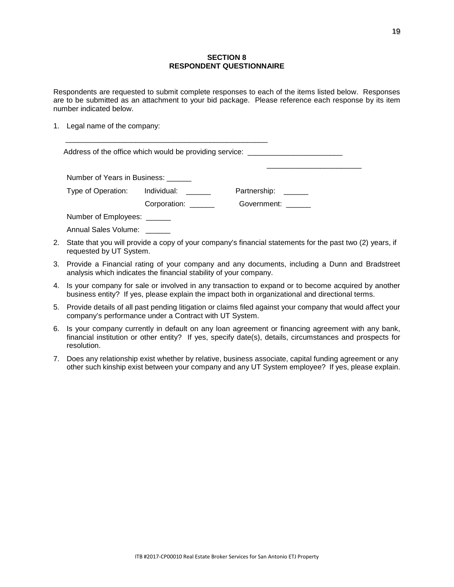# **SECTION 8 RESPONDENT QUESTIONNAIRE**

Respondents are requested to submit complete responses to each of the items listed below. Responses are to be submitted as an attachment to your bid package. Please reference each response by its item number indicated below.

1. Legal name of the company:

\_\_\_\_\_\_\_\_\_\_\_\_\_\_\_\_\_\_\_\_\_\_\_\_\_\_\_\_\_\_\_\_\_\_\_\_\_\_\_\_\_\_\_\_\_\_\_\_\_

|                                                                                                                                     |                                | Address of the office which would be providing service: ________________________ |  |
|-------------------------------------------------------------------------------------------------------------------------------------|--------------------------------|----------------------------------------------------------------------------------|--|
| Number of Years in Business:                                                                                                        |                                |                                                                                  |  |
|                                                                                                                                     | Type of Operation: Individual: | Partnership:                                                                     |  |
|                                                                                                                                     | Corporation:                   | Government:                                                                      |  |
| Number of Employees: ______                                                                                                         |                                |                                                                                  |  |
| Annual Sales Volume:                                                                                                                |                                |                                                                                  |  |
| State that you will provide a copy of your company's financial statements for the past two (2) years, if<br>requested by UT System. |                                |                                                                                  |  |

- 3. Provide a Financial rating of your company and any documents, including a Dunn and Bradstreet analysis which indicates the financial stability of your company.
- 4. Is your company for sale or involved in any transaction to expand or to become acquired by another business entity? If yes, please explain the impact both in organizational and directional terms.
- 5. Provide details of all past pending litigation or claims filed against your company that would affect your company's performance under a Contract with UT System.
- 6. Is your company currently in default on any loan agreement or financing agreement with any bank, financial institution or other entity? If yes, specify date(s), details, circumstances and prospects for resolution.
- 7. Does any relationship exist whether by relative, business associate, capital funding agreement or any other such kinship exist between your company and any UT System employee? If yes, please explain.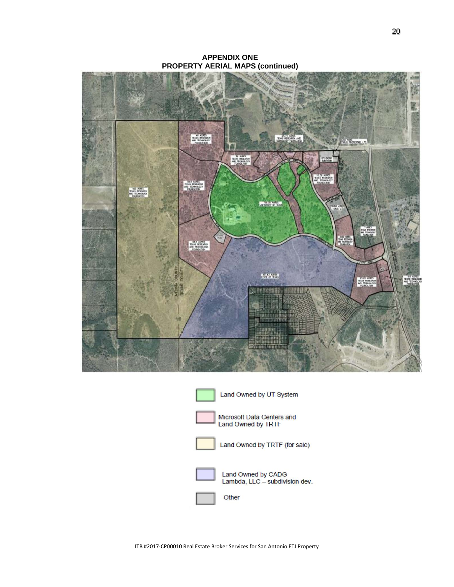**APPENDIX ONE PROPERTY AERIAL MAPS (continued)**



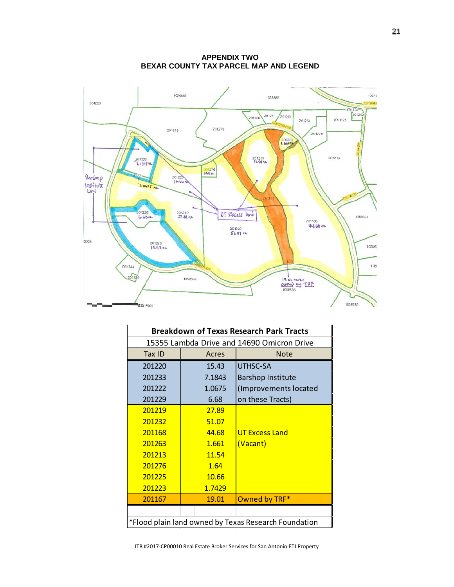TRAN 201213<br>**11.54 Ac.** 201233<br>LIBH34C  $Burshop$ 1.0675 AC  $rac{1}{2}$ 201219<br>271-81 Ac OT Excess land 201168<br>**44.68 se** 201232<br>51.07 ML 201220<br>15.43 AC  $19.01$  ACPLE 815 Feet

| <b>APPENDIX TWO</b>                    |  |  |  |  |
|----------------------------------------|--|--|--|--|
| BEXAR COUNTY TAX PARCEL MAP AND LEGEND |  |  |  |  |

| <b>Breakdown of Texas Research Park Tracts</b>       |        |                          |  |  |  |
|------------------------------------------------------|--------|--------------------------|--|--|--|
| 15355 Lambda Drive and 14690 Omicron Drive           |        |                          |  |  |  |
| Tax ID                                               | Acres  | <b>Note</b>              |  |  |  |
| 201220                                               | 15.43  | UTHSC-SA                 |  |  |  |
| 201233                                               | 7.1843 | <b>Barshop Institute</b> |  |  |  |
| 201222                                               | 1.0675 | (Improvements located    |  |  |  |
| 201229                                               | 6.68   | on these Tracts)         |  |  |  |
| 201219                                               | 27.89  |                          |  |  |  |
| 201232                                               | 51.07  |                          |  |  |  |
| 201168                                               | 44.68  | <b>UT Excess Land</b>    |  |  |  |
| 201263                                               | 1.661  | (Vacant)                 |  |  |  |
| 201213                                               | 11.54  |                          |  |  |  |
| 201276                                               | 1.64   |                          |  |  |  |
| 201225                                               | 10.66  |                          |  |  |  |
| 201223                                               | 1.7429 |                          |  |  |  |
| 201167                                               | 19.01  | Owned by TRF*            |  |  |  |
|                                                      |        |                          |  |  |  |
| *Flood plain land owned by Texas Research Foundation |        |                          |  |  |  |

ITB #2017-CP00010 Real Estate Broker Services for San Antonio ETJ Property